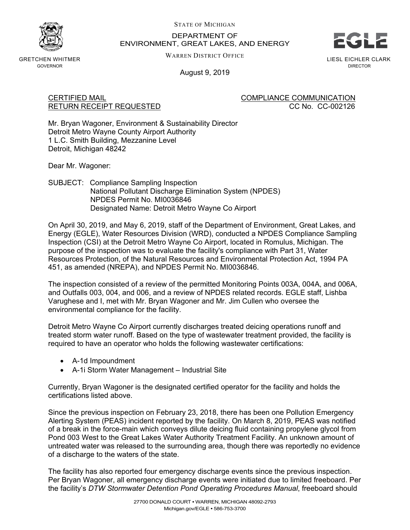

STATE OF MICHIGAN

# DEPARTMENT OF ENVIRONMENT, GREAT LAKES, AND ENERGY



GRETCHEN WHITMER GOVERNOR

WARREN DISTRICT OFFICE

LIESL EICHLER CLARK DIRECTOR

August 9, 2019

CERTIFIED MAIL COMPLIANCE COMMUNICATION RETURN RECEIPT REQUESTED **CC No. CC-002126** 

Mr. Bryan Wagoner, Environment & Sustainability Director Detroit Metro Wayne County Airport Authority 1 L.C. Smith Building, Mezzanine Level Detroit, Michigan 48242

Dear Mr. Wagoner:

SUBJECT: Compliance Sampling Inspection National Pollutant Discharge Elimination System (NPDES) NPDES Permit No. MI0036846 Designated Name: Detroit Metro Wayne Co Airport

On April 30, 2019, and May 6, 2019, staff of the Department of Environment, Great Lakes, and Energy (EGLE), Water Resources Division (WRD), conducted a NPDES Compliance Sampling Inspection (CSI) at the Detroit Metro Wayne Co Airport, located in Romulus, Michigan. The purpose of the inspection was to evaluate the facility's compliance with Part 31, Water Resources Protection, of the Natural Resources and Environmental Protection Act, 1994 PA 451, as amended (NREPA), and NPDES Permit No. MI0036846.

The inspection consisted of a review of the permitted Monitoring Points 003A, 004A, and 006A, and Outfalls 003, 004, and 006, and a review of NPDES related records. EGLE staff, Lishba Varughese and I, met with Mr. Bryan Wagoner and Mr. Jim Cullen who oversee the environmental compliance for the facility.

Detroit Metro Wayne Co Airport currently discharges treated deicing operations runoff and treated storm water runoff. Based on the type of wastewater treatment provided, the facility is required to have an operator who holds the following wastewater certifications:

- A-1d Impoundment
- A-1i Storm Water Management Industrial Site

Currently, Bryan Wagoner is the designated certified operator for the facility and holds the certifications listed above.

Since the previous inspection on February 23, 2018, there has been one Pollution Emergency Alerting System (PEAS) incident reported by the facility. On March 8, 2019, PEAS was notified of a break in the force-main which conveys dilute deicing fluid containing propylene glycol from Pond 003 West to the Great Lakes Water Authority Treatment Facility. An unknown amount of untreated water was released to the surrounding area, though there was reportedly no evidence of a discharge to the waters of the state.

The facility has also reported four emergency discharge events since the previous inspection. Per Bryan Wagoner, all emergency discharge events were initiated due to limited freeboard. Per the facility's *DTW Stormwater Detention Pond Operating Procedures Manual*, freeboard should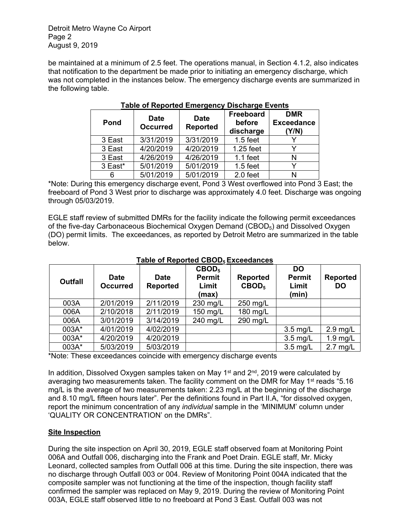Detroit Metro Wayne Co Airport Page 2 August 9, 2019

be maintained at a minimum of 2.5 feet. The operations manual, in Section 4.1.2, also indicates that notification to the department be made prior to initiating an emergency discharge, which was not completed in the instances below. The emergency discharge events are summarized in the following table.

| Pond    | <b>Date</b><br><b>Occurred</b> | <b>Date</b><br><b>Reported</b> | Freeboard<br>before<br>discharge | <b>DMR</b><br><b>Exceedance</b><br>(Y/N) |
|---------|--------------------------------|--------------------------------|----------------------------------|------------------------------------------|
| 3 East  | 3/31/2019                      | 3/31/2019                      | $1.5$ feet                       |                                          |
| 3 East  | 4/20/2019                      | 4/20/2019                      | 1.25 feet                        |                                          |
| 3 East  | 4/26/2019                      | 4/26/2019                      | $1.1$ feet                       | N                                        |
| 3 East* | 5/01/2019                      | 5/01/2019                      | $1.5$ feet                       |                                          |
| 6       | 5/01/2019                      | 5/01/2019                      | 2.0 feet                         | N                                        |

## **Table of Reported Emergency Discharge Events**

\*Note: During this emergency discharge event, Pond 3 West overflowed into Pond 3 East; the freeboard of Pond 3 West prior to discharge was approximately 4.0 feet. Discharge was ongoing through 05/03/2019.

EGLE staff review of submitted DMRs for the facility indicate the following permit exceedances of the five-day Carbonaceous Biochemical Oxygen Demand (CBOD<sub>5</sub>) and Dissolved Oxygen (DO) permit limits. The exceedances, as reported by Detroit Metro are summarized in the table below.

| <b>Date</b><br><b>Occurred</b> | <b>Date</b><br><b>Reported</b> | CBOD <sub>5</sub><br><b>Permit</b><br>Limit<br>(max) | <b>Reported</b><br>CBOD <sub>5</sub> | <b>DO</b><br><b>Permit</b><br>Limit<br>(min) | <b>Reported</b><br><b>DO</b> |
|--------------------------------|--------------------------------|------------------------------------------------------|--------------------------------------|----------------------------------------------|------------------------------|
| 2/01/2019                      | 2/11/2019                      | 230 mg/L                                             | 250 mg/L                             |                                              |                              |
| 2/10/2018                      | 2/11/2019                      | 150 mg/L                                             | 180 mg/L                             |                                              |                              |
| 3/01/2019                      | 3/14/2019                      | 240 mg/L                                             | 290 mg/L                             |                                              |                              |
| 4/01/2019                      | 4/02/2019                      |                                                      |                                      | $3.5$ mg/L                                   | $2.9$ mg/L                   |
| 4/20/2019                      | 4/20/2019                      |                                                      |                                      | $3.5$ mg/L                                   | $1.9$ mg/L                   |
| 5/03/2019                      | 5/03/2019                      |                                                      |                                      | $3.5$ mg/L                                   | $2.7$ mg/L                   |
|                                |                                |                                                      | .                                    | . .                                          |                              |

### **Table of Reported CBOD5 Exceedances**

\*Note: These exceedances coincide with emergency discharge events

In addition, Dissolved Oxygen samples taken on May 1<sup>st</sup> and  $2<sup>nd</sup>$ , 2019 were calculated by averaging two measurements taken. The facility comment on the DMR for May 1<sup>st</sup> reads "5.16 mg/L is the average of two measurements taken: 2.23 mg/L at the beginning of the discharge and 8.10 mg/L fifteen hours later". Per the definitions found in Part II.A, "for dissolved oxygen, report the minimum concentration of any *individual* sample in the 'MINIMUM' column under 'QUALITY OR CONCENTRATION' on the DMRs".

### **Site Inspection**

During the site inspection on April 30, 2019, EGLE staff observed foam at Monitoring Point 006A and Outfall 006, discharging into the Frank and Poet Drain. EGLE staff, Mr. Micky Leonard, collected samples from Outfall 006 at this time. During the site inspection, there was no discharge through Outfall 003 or 004. Review of Monitoring Point 004A indicated that the composite sampler was not functioning at the time of the inspection, though facility staff confirmed the sampler was replaced on May 9, 2019. During the review of Monitoring Point 003A, EGLE staff observed little to no freeboard at Pond 3 East. Outfall 003 was not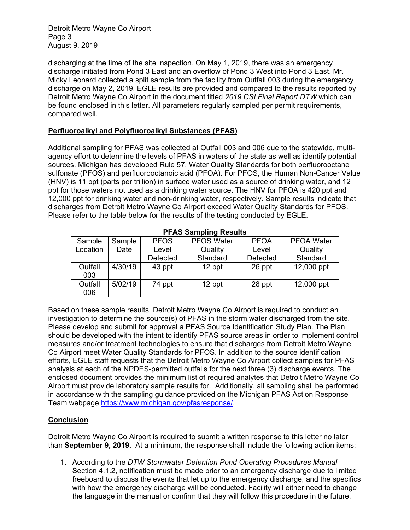Detroit Metro Wayne Co Airport Page 3 August 9, 2019

discharging at the time of the site inspection. On May 1, 2019, there was an emergency discharge initiated from Pond 3 East and an overflow of Pond 3 West into Pond 3 East. Mr. Micky Leonard collected a split sample from the facility from Outfall 003 during the emergency discharge on May 2, 2019. EGLE results are provided and compared to the results reported by Detroit Metro Wayne Co Airport in the document titled *2019 CSI Final Report DTW* which can be found enclosed in this letter. All parameters regularly sampled per permit requirements, compared well.

### **Perfluoroalkyl and Polyfluoroalkyl Substances (PFAS)**

Additional sampling for PFAS was collected at Outfall 003 and 006 due to the statewide, multiagency effort to determine the levels of PFAS in waters of the state as well as identify potential sources. Michigan has developed Rule 57, Water Quality Standards for both perfluorooctane sulfonate (PFOS) and perfluorooctanoic acid (PFOA). For PFOS, the Human Non-Cancer Value (HNV) is 11 ppt (parts per trillion) in surface water used as a source of drinking water, and 12 ppt for those waters not used as a drinking water source. The HNV for PFOA is 420 ppt and 12,000 ppt for drinking water and non-drinking water, respectively. Sample results indicate that discharges from Detroit Metro Wayne Co Airport exceed Water Quality Standards for PFOS. Please refer to the table below for the results of the testing conducted by EGLE.

| <b>FIAS SAMPMIN RESURS</b> |         |             |                   |             |                   |  |  |  |  |
|----------------------------|---------|-------------|-------------------|-------------|-------------------|--|--|--|--|
| Sample                     | Sample  | <b>PFOS</b> | <b>PFOS Water</b> | <b>PFOA</b> | <b>PFOA Water</b> |  |  |  |  |
| Location                   | Date    | Level       | Quality           | Level       | Quality           |  |  |  |  |
|                            |         | Detected    | Standard          | Detected    | Standard          |  |  |  |  |
| Outfall<br>003             | 4/30/19 | 43 ppt      | 12 ppt            | 26 ppt      | 12,000 ppt        |  |  |  |  |
| Outfall<br>006             | 5/02/19 | 74 ppt      | 12 ppt            | 28 ppt      | 12,000 ppt        |  |  |  |  |

#### **PFAS Sampling Results**

Based on these sample results, Detroit Metro Wayne Co Airport is required to conduct an investigation to determine the source(s) of PFAS in the storm water discharged from the site. Please develop and submit for approval a PFAS Source Identification Study Plan. The Plan should be developed with the intent to identify PFAS source areas in order to implement control measures and/or treatment technologies to ensure that discharges from Detroit Metro Wayne Co Airport meet Water Quality Standards for PFOS. In addition to the source identification efforts, EGLE staff requests that the Detroit Metro Wayne Co Airport collect samples for PFAS analysis at each of the NPDES-permitted outfalls for the next three (3) discharge events. The enclosed document provides the minimum list of required analytes that Detroit Metro Wayne Co Airport must provide laboratory sample results for. Additionally, all sampling shall be performed in accordance with the sampling guidance provided on the Michigan PFAS Action Response Team webpage [https://www.michigan.gov/pfasresponse/.](https://www.michigan.gov/pfasresponse/)

### **Conclusion**

Detroit Metro Wayne Co Airport is required to submit a written response to this letter no later than **September 9, 2019.** At a minimum, the response shall include the following action items:

1. According to the *DTW Stormwater Detention Pond Operating Procedures Manual* Section 4.1.2, notification must be made prior to an emergency discharge due to limited freeboard to discuss the events that let up to the emergency discharge, and the specifics with how the emergency discharge will be conducted. Facility will either need to change the language in the manual or confirm that they will follow this procedure in the future.